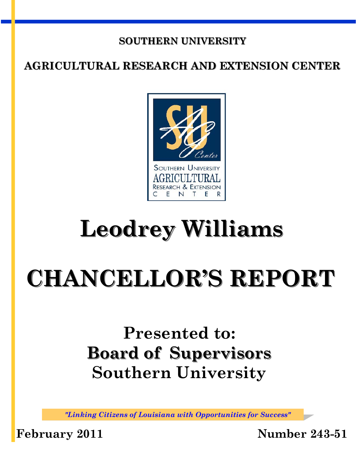#### **SOUTHERN UNIVERSITY**

### **AGRICULTURAL RESEARCH AND EXTENSION CENTER**



## **Leodrey Williams**

# **CHANCELLOR'S REPORT**

## **Presented to: Board of Supervisors Southern University**

*"Linking Citizens of Louisiana with Opportunities for Success"* 

**February 2011 Number 243-51**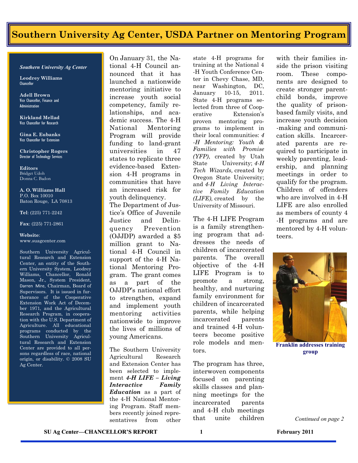#### **Southern University Ag Center, USDA Partner on Mentoring Program**

#### *Southern University Ag Center*

**Leodrey Williams Chancellor** 

**Adell Brown** Vice Chancellor, Finance and **Administration** 

**Kirkland Mellad**  Vice Chancellor for Research

**Gina E. Eubanks**  Vice Chancellor for Extension

**Christopher Rogers** Director of Technology Services

**Editors**  Bridget Udoh Donna C. Badon

**A. O. Williams Hall**  P.O. Box 10010 Baton Rouge, LA 70813

**Tel**: (225) 771-2242

**Fax**: (225) 771-2861

#### **Website**: www.suagcenter.com

Southern University Agricultural Research and Extension Center, an entity of the Southern University System, Leodrey Williams, Chancellor, Ronald Mason, Jr., System President, Darren Mire, Chairman, Board of Supervisors. It is issued in furtherance of the Cooperative Extension Work Act of December 1971, and the Agricultural Research Program, in cooperation with the U.S. Department of Agriculture. All educational programs conducted by the Southern University Agricultural Research and Extension Center are provided to all persons regardless of race, national origin, or disability. © 2008 SU Ag Center.

On January 31, the National 4-H Council announced that it has launched a nationwide mentoring initiative to increase youth social competency, family relationships, and academic success. The 4-H National Mentoring Program will provide funding to land-grant universities in 47 states to replicate three evidence-based Extension 4-H programs in communities that have an increased risk for youth delinquency. The Department of Jus-

tice's Office of Juvenile Justice and Delinquency Prevention (OJJDP) awarded a \$5 million grant to National 4-H Council in support of the 4-H National Mentoring Program. The grant comes as a part of the OJJDP's national effort to strengthen, expand and implement youth mentoring activities nationwide to improve the lives of millions of young Americans.

The Southern University Agricultural Research and Extension Center has been selected to implement *4-H LIFE – Living Interactive Family Education* as a part of the 4-H National Mentoring Program. Staff members recently joined representatives from other

state 4-H programs for training at the National 4 -H Youth Conference Center in Chevy Chase, MD, near Washington, DC, January 10-15, 2011. State 4-H programs selected from three of Cooperative Extension's proven mentoring programs to implement in their local communities: *4 -H Mentoring: Youth & Families with Promise (YFP)*, created by Utah State University; *4-H Tech Wizards,* created by Oregon State University; and *4-H Living Interactive Family Education (LIFE),* created by the University of Missouri.

The 4-H LIFE Program is a family strengthening program that addresses the needs of children of incarcerated parents. The overall objective of the 4-H LIFE Program is to promote a strong, healthy, and nurturing family environment for children of incarcerated parents, while helping incarcerated parents and trained 4-H volunteers become positive role models and mentors.

The program has three, interwoven components focused on parenting skills classes and planning meetings for the incarcerated parents and 4-H club meetings that unite children with their families inside the prison visiting room. These components are designed to create stronger parentchild bonds, improve the quality of prisonbased family visits, and increase youth decision -making and communication skills. Incarcerated parents are required to participate in weekly parenting, leadership, and planning meetings in order to qualify for the program. Children of offenders who are involved in 4-H LIFE are also enrolled as members of county 4 -H programs and are mentored by 4-H volunteers.



**Franklin addresses training group** 

*Continued on page 2*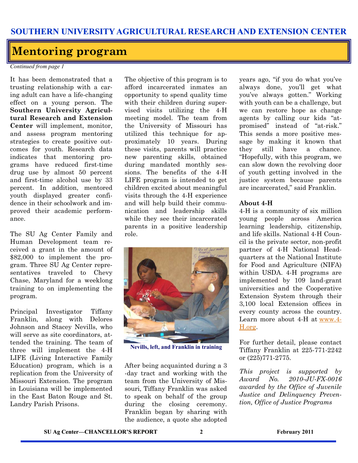#### **Mentoring program**

*Continued from page 1* 

It has been demonstrated that a trusting relationship with a caring adult can have a life-changing effect on a young person. The **Southern University Agricultural Research and Extension Center** will implement, monitor, and assess program mentoring strategies to create positive outcomes for youth. Research data indicates that mentoring programs have reduced first-time drug use by almost 50 percent and first-time alcohol use by 33 percent. In addition, mentored youth displayed greater confidence in their schoolwork and improved their academic performance.

The SU Ag Center Family and Human Development team received a grant in the amount of \$82,000 to implement the program. Three SU Ag Center representatives traveled to Chevy Chase, Maryland for a weeklong training to on implementing the program.

Principal Investigator Tiffany Franklin, along with Delores Johnson and Stacey Nevills, who will serve as site coordinators, attended the training. The team of three will implement the 4-H LIFE (Living Interactive Family Education) program, which is a replication from the University of Missouri Extension. The program in Louisiana will be implemented in the East Baton Rouge and St. Landry Parish Prisons.

The objective of this program is to afford incarcerated inmates an opportunity to spend quality time with their children during supervised visits utilizing the 4-H meeting model. The team from the University of Missouri has utilized this technique for approximately 10 years. During these visits, parents will practice new parenting skills, obtained during mandated monthly sessions. The benefits of the 4-H LIFE program is intended to get children excited about meaningful visits through the 4-H experience and will help build their communication and leadership skills while they see their incarcerated parents in a positive leadership role.



**Nevills, left, and Franklin in training** 

After being acquainted during a 3 -day tract and working with the team from the University of Missouri, Tiffany Franklin was asked to speak on behalf of the group during the closing ceremony. Franklin began by sharing with the audience, a quote she adopted years ago, "if you do what you've always done, you'll get what you've always gotten." Working with youth can be a challenge, but we can restore hope as change agents by calling our kids "atpromised" instead of "at-risk." This sends a more positive message by making it known that they still have a chance. "Hopefully, with this program, we can slow down the revolving door of youth getting involved in the justice system because parents are incarcerated," said Franklin.

#### **About 4-H**

4-H is a community of six million young people across America learning leadership, citizenship, and life skills. National 4-H Council is the private sector, non-profit partner of 4-H National Headquarters at the National Institute for Food and Agriculture (NIFA) within USDA. 4-H programs are implemented by 109 land-grant universities and the Cooperative Extension System through their 3,100 local Extension offices in every county across the country. Learn more about 4-H at [www.4-](http://www.4-H.org) [H.org.](http://www.4-H.org) 

For further detail, please contact Tiffany Franklin at 225-771-2242 or (225)771-2775.

*This project is supported by Award No. 2010-JU-FX-0016 awarded by the Office of Juvenile Justice and Delinquency Prevention, Office of Justice Programs*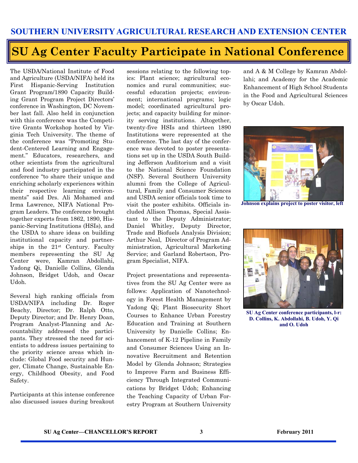## **SU Ag Center Faculty Participate in National Conference**

The USDA/National Institute of Food and Agriculture (USDA/NIFA) held its First Hispanic-Serving Institution Grant Program/1890 Capacity Building Grant Program Project Directors' conference in Washington, DC November last fall. Also held in conjunction with this conference was the Competitive Grants Workshop hosted by Virginia Tech University. The theme of the conference was "Promoting Student-Centered Learning and Engagement." Educators, researchers, and other scientists from the agricultural and food industry participated in the conference "to share their unique and enriching scholarly experiences within their respective learning environments" said Drs. Ali Mohamed and Irma Lawrence, NIFA National Program Leaders. The conference brought together experts from 1862, 1890, Hispanic-Serving Institutions (HSIs), and the USDA to share ideas on building institutional capacity and partnerships in the 21st Century. Faculty members representing the SU Ag Center were, Kamran Abdollahi, Yadong Qi, Danielle Collins, Glenda Johnson, Bridget Udoh, and Oscar Udoh.

Several high ranking officials from USDA/NIFA including Dr. Roger Beachy, Director; Dr. Ralph Otto, Deputy Director; and Dr. Henry Doan, Program Analyst-Planning and Accountability addressed the participants. They stressed the need for scientists to address issues pertaining to the priority science areas which include: Global Food security and Hunger, Climate Change, Sustainable Energy, Childhood Obesity, and Food Safety.

Participants at this intense conference also discussed issues during breakout sessions relating to the following topics: Plant science; agricultural economics and rural communities; successful education projects; environment; international programs; logic model; coordinated agricultural projects; and capacity building for minority serving institutions. Altogether, twenty-five HSIs and thirteen 1890 Institutions were represented at the conference. The last day of the conference was devoted to poster presentations set up in the USDA South Building Jefferson Auditorium and a visit to the National Science Foundation (NSF). Several Southern University alumni from the College of Agricultural, Family and Consumer Sciences and USDA senior officials took time to visit the poster exhibits. Officials included Allison Thomas, Special Assistant to the Deputy Administrator; Daniel Whitley, Deputy Director, Trade and Biofuels Analysis Division; Arthur Neal, Director of Program Administration, Agricultural Marketing Service; and Garland Robertson, Program Specialist, NIFA.

Project presentations and representatives from the SU Ag Center were as follows: Application of Nanotechnology in Forest Health Management by Yadong Qi; Plant Biosecurity Short Courses to Enhance Urban Forestry Education and Training at Southern University by Danielle Collins; Enhancement of K-12 Pipeline in Family and Consumer Sciences Using an Innovative Recruitment and Retention Model by Glenda Johnson; Strategies to Improve Farm and Business Efficiency Through Integrated Communications by Bridget Udoh; Enhancing the Teaching Capacity of Urban Forestry Program at Southern University

and A & M College by Kamran Abdollahi; and Academy for the Academic Enhancement of High School Students in the Food and Agricultural Sciences by Oscar Udoh.



**Johnson explains project to poster visitor, left** 



**SU Ag Center conference participants, l-r: D. Collins, K. Abdollahi, B. Udoh, Y. Qi and O. Udoh**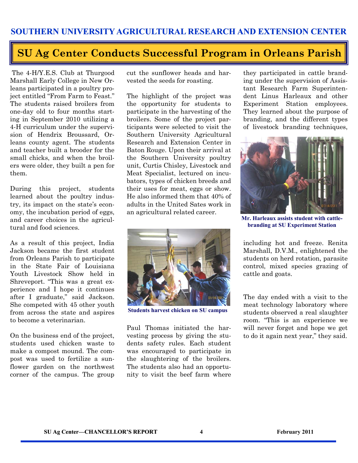#### **SU Ag Center Conducts Successful Program in Orleans Parish**

 The 4-H/Y.E.S. Club at Thurgood Marshall Early College in New Orleans participated in a poultry project entitled "From Farm to Feast." The students raised broilers from one-day old to four months starting in September 2010 utilizing a 4-H curriculum under the supervision of Hendrix Broussard, Orleans county agent. The students and teacher built a brooder for the small chicks, and when the broilers were older, they built a pen for them.

During this project, students learned about the poultry industry, its impact on the state's economy, the incubation period of eggs, and career choices in the agricultural and food sciences.

As a result of this project, India Jackson became the first student from Orleans Parish to participate in the State Fair of Louisiana Youth Livestock Show held in Shreveport. "This was a great experience and I hope it continues after I graduate," said Jackson. She competed with 45 other youth from across the state and aspires to become a veterinarian.

On the business end of the project, students used chicken waste to make a compost mound. The compost was used to fertilize a sunflower garden on the northwest corner of the campus. The group cut the sunflower heads and harvested the seeds for roasting.

The highlight of the project was the opportunity for students to participate in the harvesting of the broilers. Some of the project participants were selected to visit the Southern University Agricultural Research and Extension Center in Baton Rouge. Upon their arrival at the Southern University poultry unit, Curtis Chisley, Livestock and Meat Specialist, lectured on incubators, types of chicken breeds and their uses for meat, eggs or show. He also informed them that 40% of adults in the United Sates work in an agricultural related career.



**Students harvest chicken on SU campus** 

Paul Thomas initiated the harvesting process by giving the students safety rules. Each student was encouraged to participate in the slaughtering of the broilers. The students also had an opportunity to visit the beef farm where they participated in cattle branding under the supervision of Assistant Research Farm Superintendent Linus Harleaux and other Experiment Station employees. They learned about the purpose of branding, and the different types of livestock branding techniques,



**Mr. Harleaux assists student with cattlebranding at SU Experiment Station** 

including hot and freeze. Renita Marshall, D.V.M., enlightened the students on herd rotation, parasite control, mixed species grazing of cattle and goats.

The day ended with a visit to the meat technology laboratory where students observed a real slaughter room. "This is an experience we will never forget and hope we get to do it again next year," they said.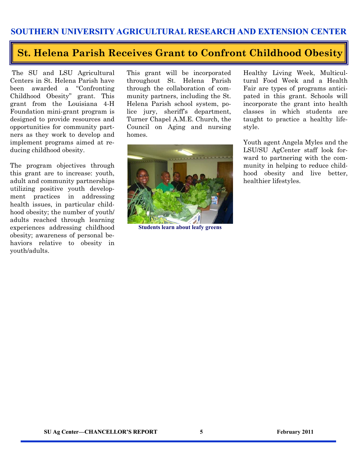#### **SOUTHERN UNIVERSITY AGRICULTURAL RESEARCH AND EXTENSION CENTER**

#### **St. Helena Parish Receives Grant to Confront Childhood Obesity**

 The SU and LSU Agricultural Centers in St. Helena Parish have been awarded a "Confronting Childhood Obesity" grant. This grant from the Louisiana 4-H Foundation mini-grant program is designed to provide resources and opportunities for community partners as they work to develop and implement programs aimed at reducing childhood obesity.

The program objectives through this grant are to increase: youth, adult and community partnerships utilizing positive youth development practices in addressing health issues, in particular childhood obesity; the number of youth/ adults reached through learning experiences addressing childhood obesity; awareness of personal behaviors relative to obesity in youth/adults.

This grant will be incorporated throughout St. Helena Parish through the collaboration of community partners, including the St. Helena Parish school system, police jury, sheriff's department, Turner Chapel A.M.E. Church, the Council on Aging and nursing homes.



**Students learn about leafy greens** 

Healthy Living Week, Multicultural Food Week and a Health Fair are types of programs anticipated in this grant. Schools will incorporate the grant into health classes in which students are taught to practice a healthy lifestyle.

Youth agent Angela Myles and the LSU/SU AgCenter staff look forward to partnering with the community in helping to reduce childhood obesity and live better, healthier lifestyles.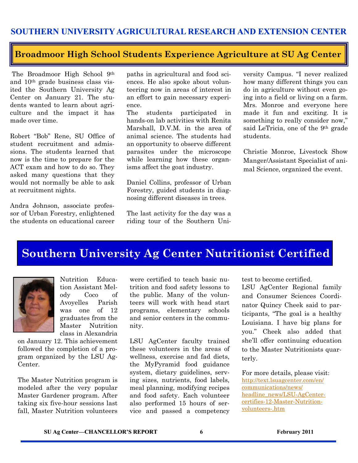#### **Broadmoor High School Students Experience Agriculture at SU Ag Center**

 The Broadmoor High School 9th and 10th grade business class visited the Southern University Ag Center on January 21. The students wanted to learn about agriculture and the impact it has made over time.

Robert "Bob" Rene, SU Office of student recruitment and admissions. The students learned that now is the time to prepare for the ACT exam and how to do so. They asked many questions that they would not normally be able to ask at recruitment nights.

Andra Johnson, associate professor of Urban Forestry, enlightened the students on educational career paths in agricultural and food sciences. He also spoke about volunteering now in areas of interest in an effort to gain necessary experience.

The students participated in hands-on lab activities with Renita Marshall, D.V.M. in the area of animal science. The students had an opportunity to observe different parasites under the microscope while learning how these organisms affect the goat industry.

Daniel Collins, professor of Urban Forestry, guided students in diagnosing different diseases in trees.

The last activity for the day was a riding tour of the Southern University Campus. "I never realized how many different things you can do in agriculture without even going into a field or living on a farm. Mrs. Monroe and everyone here made it fun and exciting. It is something to really consider now," said LeTricia, one of the 9th grade students.

Christie Monroe, Livestock Show Manger/Assistant Specialist of animal Science, organized the event.

### **Southern University Ag Center Nutritionist Certified**



Nutrition Education Assistant Melody Coco of Avoyelles Parish was one of 12 graduates from the Master Nutrition class in Alexandria

on January 12. This achievement followed the completion of a program organized by the LSU Ag-Center.

The Master Nutrition program is modeled after the very popular Master Gardener program. After taking six five-hour sessions last fall, Master Nutrition volunteers

were certified to teach basic nutrition and food safety lessons to the public. Many of the volunteers will work with head start programs, elementary schools and senior centers in the community.

LSU AgCenter faculty trained these volunteers in the areas of wellness, exercise and fad diets, the MyPyramid food guidance system, dietary guidelines, serving sizes, nutrients, food labels, meal planning, modifying recipes and food safety. Each volunteer also performed 15 hours of service and passed a competency test to become certified.

LSU AgCenter Regional family and Consumer Sciences Coordinator Quincy Cheek said to participants, "The goal is a healthy Louisiana. I have big plans for you." Cheek also added that she'll offer continuing education to the Master Nutritionists quarterly.

For more details, please visit: [http://text.lsuagcenter.com/en/](http://text.lsuagcenter.com/en/communications/news/headline_news/LSU-AgCenter-certifies-12-Master-Nutrition-volunteers-.htm) [communications/news/](http://text.lsuagcenter.com/en/communications/news/headline_news/LSU-AgCenter-certifies-12-Master-Nutrition-volunteers-.htm) [headline\\_news/LSU-AgCenter](http://text.lsuagcenter.com/en/communications/news/headline_news/LSU-AgCenter-certifies-12-Master-Nutrition-volunteers-.htm)[certifies-12-Master-Nutrition](http://text.lsuagcenter.com/en/communications/news/headline_news/LSU-AgCenter-certifies-12-Master-Nutrition-volunteers-.htm)[volunteers-.htm](http://text.lsuagcenter.com/en/communications/news/headline_news/LSU-AgCenter-certifies-12-Master-Nutrition-volunteers-.htm)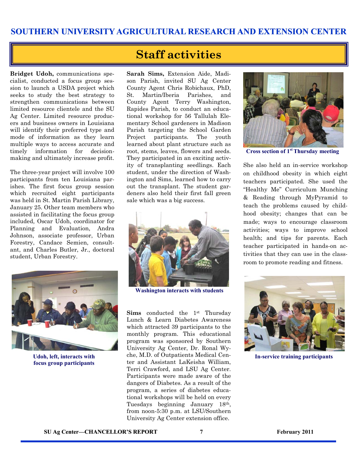#### **Staff activities**

**Bridget Udoh,** communications specialist, conducted a focus group session to launch a USDA project which seeks to study the best strategy to strengthen communications between limited resource clientele and the SU Ag Center. Limited resource producers and business owners in Louisiana will identify their preferred type and mode of information as they learn multiple ways to access accurate and timely information for decisionmaking and ultimately increase profit.

The three-year project will involve 100 participants from ten Louisiana parishes. The first focus group session which recruited eight participants was held in St. Martin Parish Library, January 25. Other team members who assisted in facilitating the focus group included, Oscar Udoh, coordinator for Planning and Evaluation, Andra Johnson, associate professor, Urban Forestry, Candace Semien, consultant, and Charles Butler, Jr., doctoral student, Urban Forestry.



**Udoh, left, interacts with focus group participants** 

**Sarah Sims,** Extension Aide, Madison Parish, invited SU Ag Center County Agent Chris Robichaux, PhD, St. Martin/Iberia Parishes, and County Agent Terry Washington, Rapides Parish, to conduct an educational workshop for 56 Tallulah Elementary School gardeners in Madison Parish targeting the School Garden Project participants. The youth learned about plant structure such as root, stems, leaves, flowers and seeds. They participated in an exciting activity of transplanting seedlings. Each student, under the direction of Washington and Sims, learned how to carry out the transplant. The student gardeners also held their first fall green sale which was a big success.



**Washington interacts with students** 

**Sims** conducted the 1st Thursday Lunch & Learn Diabetes Awareness which attracted 39 participants to the monthly program. This educational program was sponsored by Southern University Ag Center, Dr. Ronal Wyche, M.D. of Outpatients Medical Center and Assistant LaKeisha William, Terri Crawford, and LSU Ag Center. Participants were made aware of the dangers of Diabetes. As a result of the program, a series of diabetes educational workshops will be held on every Tuesdays beginning January 18th, from noon-5:30 p.m. at LSU/Southern University Ag Center extension office.



**Cross section of 1st Thursday meeting** 

She also held an in-service workshop on childhood obesity in which eight teachers participated. She used the "Healthy Me" Curriculum Munching & Reading through MyPyramid to teach the problems caused by childhood obesity; changes that can be made; ways to encourage classroom activities; ways to improve school health; and tips for parents. Each teacher participated in hands-on activities that they can use in the classroom to promote reading and fitness.



**In-service training participants**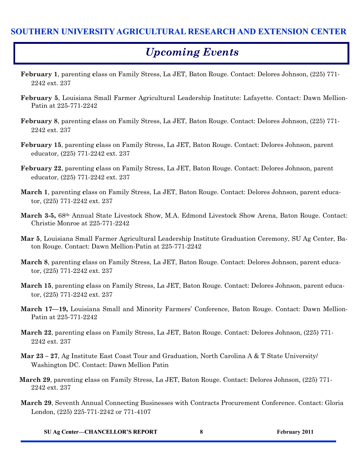#### **SOUTHERN UNIVERSITY AGRICULTURAL RESEARCH AND EXTENSION CENTER**

#### *Upcoming Events*

- **February 1**, parenting **c**lass on Family Stress, La JET, Baton Rouge. Contact: Delores Johnson, (225) 771- 2242 ext. 237
- **February 5**, Louisiana Small Farmer Agricultural Leadership Institute: Lafayette. Contact: Dawn Mellion-Patin at 225-771-2242
- **February 8**, parenting **c**lass on Family Stress, La JET, Baton Rouge. Contact: Delores Johnson, (225) 771- 2242 ext. 237
- **February 15**, parenting **c**lass on Family Stress, La JET, Baton Rouge. Contact: Delores Johnson, parent educator, (225) 771-2242 ext. 237
- **February 22**, parenting **c**lass on Family Stress, La JET, Baton Rouge. Contact: Delores Johnson, parent educator, (225) 771-2242 ext. 237
- **March 1**, parenting **c**lass on Family Stress, La JET, Baton Rouge. Contact: Delores Johnson, parent educator, (225) 771-2242 ext. 237
- **March 3-5,** 68th Annual State Livestock Show, M.A. Edmond Livestock Show Arena, Baton Rouge. Contact: Christie Monroe at 225-771-2242
- **Mar 5**, Louisiana Small Farmer Agricultural Leadership Institute Graduation Ceremony, SU Ag Center, Baton Rouge. Contact: Dawn Mellion-Patin at 225-771-2242
- **March 8**, parenting **c**lass on Family Stress, La JET, Baton Rouge. Contact: Delores Johnson, parent educator, (225) 771-2242 ext. 237
- **March 15**, parenting **c**lass on Family Stress, La JET, Baton Rouge. Contact: Delores Johnson, parent educator, (225) 771-2242 ext. 237
- **March 17—19,** Louisiana Small and Minority Farmers' Conference, Baton Rouge. Contact: Dawn Mellion-Patin at 225-771-2242
- **March 22**, parenting **c**lass on Family Stress, La JET, Baton Rouge. Contact: Delores Johnson, (225) 771- 2242 ext. 237
- **Mar 23 – 27**, Ag Institute East Coast Tour and Graduation, North Carolina A & T State University/ Washington DC. Contact: Dawn Mellion Patin
- **March 29**, parenting **c**lass on Family Stress, La JET, Baton Rouge. Contact: Delores Johnson, (225) 771- 2242 ext. 237
- **March 29**, Seventh Annual Connecting Businesses with Contracts Procurement Conference. Contact: Gloria London, (225) 225-771-2242 or 771-4107